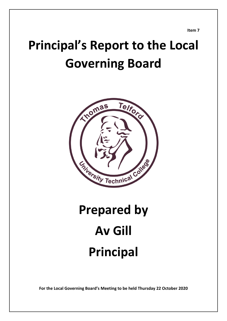**Item 7**

# **Principal's Report to the Local Governing Board**



# **Prepared by Av Gill Principal**

**For the Local Governing Board's Meeting to be held Thursday 22 October 2020**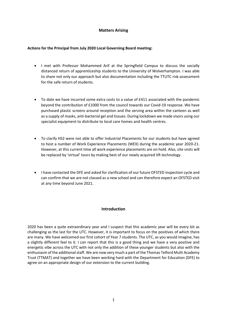# **Matters Arising**

#### **Actions for the Principal from July 2020 Local Governing Board meeting:**

- I met with Professor Mohammed Arif at the Springfield Campus to discuss the socially distanced return of apprenticeship students to the University of Wolverhampton. I was able to share not only our approach but also documentation including the TTUTC risk-assessment for the safe return of students.
- To date we have incurred some extra costs to a value of £411 associated with the pandemic beyond the contribution of £1000 from the council towards our Covid-19 response. We have purchased plastic screens around reception and the serving area within the canteen as well as a supply of masks, anti-bacterial gel and tissues. During lockdown we made visors using our specialist equipment to distribute to local care homes and health centres.
- To clarify HS2 were not able to offer Industrial Placements for our students but have agreed to host a number of Work Experience Placements (WEX) during the academic year 2020-21. However, at this current time all work experience placements are on hold. Also, site visits will be replaced by 'virtual' tours by making best of our newly acquired VR technology.
- I have contacted the DFE and asked for clarification of our future OFSTED inspection cycle and can confirm that we are not classed as a new school and can therefore expect an OFSTED visit at any time beyond June 2021.

# **Introduction**

2020 has been a quite extraordinary year and I suspect that this academic year will be every bit as challenging as the last for the UTC. However, it is important to focus on the positives of which there are many. We have welcomed our first cohort of Year 7 students. The UTC, as you would imagine, has a slightly different feel to it. I can report that this is a good thing and we have a very positive and energetic vibe across the UTC with not only the addition of these younger students but also with the enthusiasm of the additional staff. We are now very much a part of the Thomas Telford Multi Academy Trust (TTMAT) and together we have been working hard with the Department for Education (DFE) to agree on an appropriate design of our extension to the current building.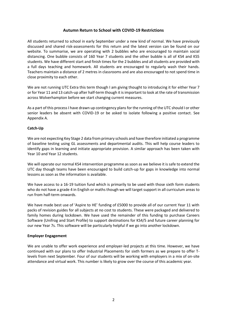# **Autumn Return to School with COVID-19 Restrictions**

All students returned to school in early September under a new kind of normal. We have previously discussed and shared risk-assessments for this return and the latest version can be found on our website. To summarise, we are operating with 2 bubbles who are encouraged to maintain social distancing. One bubble consists of 160 Year 7 students and the other bubble is all of KS4 and KS5 students. We have different start and finish times for the 2 bubbles and all students are provided with a full days teaching and homework. All students are encouraged to regularly wash their hands. Teachers maintain a distance of 2 metres in classrooms and are also encouraged to not spend time in close proximity to each other.

We are not running UTC Extra this term though I am giving thought to introducing it for either Year 7 or for Year 11 and 13 catch-up after half-term though it is important to look at the rate of transmission across Wolverhampton before we start changing current measures.

As a part of this process I have drawn up contingency plans for the running of the UTC should I or other senior leaders be absent with COVID-19 or be asked to isolate following a positive contact. See Appendix A.

#### **Catch-Up**

We are not expecting Key Stage 2 data from primary schools and have therefore initiated a programme of baseline testing using GL assessments and departmental audits. This will help course leaders to identify gaps in learning and initiate appropriate provision. A similar approach has been taken with Year 10 and Year 12 students.

We will operate our normal KS4 intervention programme as soon as we believe it is safe to extend the UTC day though teams have been encouraged to build catch-up for gaps in knowledge into normal lessons as soon as the information is available.

We have access to a 16-19 tuition fund which is primarily to be used with those sixth form students who do not have a grade 4 in English or maths though we will target support in all curriculum areas to run from half-term onwards.

We have made best use of 'Aspire to HE' funding of £5000 to provide all of our current Year 11 with packs of revision guides for all subjects at no cost to students. These were packaged and delivered to family homes during lockdown. We have used the remainder of this funding to purchase Careers Software (Unifrog and Start Profile) to support destinations for KS4/5 and future career planning for our new Year 7s. This software will be particularly helpful if we go into another lockdown.

#### **Employer Engagement**

We are unable to offer work experience and employer-led projects at this time. However, we have continued with our plans to offer Industrial Placements for sixth formers as we prepare to offer Tlevels from next September. Four of our students will be working with employers in a mix of on-site attendance and virtual work. This number is likely to grow over the course of this academic year.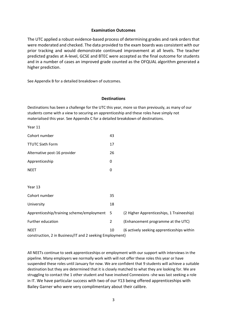#### **Examination Outcomes**

The UTC applied a robust evidence-based process of determining grades and rank orders that were moderated and checked. The data provided to the exam boards was consistent with our prior tracking and would demonstrate continued improvement at all levels. The teacher predicted grades at A-level, GCSE and BTEC were accepted as the final outcome for students and in a number of cases an improved grade counted as the OFQUAL algorithm generated a higher prediction.

See Appendix B for a detailed breakdown of outcomes.

#### **Destinations**

Destinations has been a challenge for the UTC this year, more so than previously, as many of our students come with a view to securing an apprenticeship and these roles have simply not materialised this year. See Appendix C for a detailed breakdown of destinations.

Year 11

| Cohort number                                                                                                               | 43  |                                           |
|-----------------------------------------------------------------------------------------------------------------------------|-----|-------------------------------------------|
| <b>TTUTC Sixth Form</b>                                                                                                     | 17  |                                           |
| Alternative post-16 provider                                                                                                | 26  |                                           |
| Apprenticeship                                                                                                              | 0   |                                           |
| <b>NEET</b>                                                                                                                 | 0   |                                           |
|                                                                                                                             |     |                                           |
| Year 13                                                                                                                     |     |                                           |
| Cohort number                                                                                                               | 35  |                                           |
| University                                                                                                                  | 18  |                                           |
| Apprenticeship/training scheme/employment                                                                                   | - 5 | (2 Higher Apprenticeships, 1 Traineeship) |
| Further education                                                                                                           | 2   | (Enhancement programme at the UTC)        |
| 10<br>(6 actively seeking apprenticeships within<br><b>NEET</b><br>construction, 2 in Business/IT and 2 seeking Employment) |     |                                           |

All NEETs continue to seek apprenticeships or employment with our support with interviews in the pipeline. Many employers we normally work with will not offer these roles this year or have suspended these roles until January for now. We are confident that 9 students will achieve a suitable destination but they are determined that it is closely matched to what they are looking for. We are struggling to contact the 1 other student and have involved Connexions -she was last seeking a role in IT. We have particular success with two of our Y13 being offered apprenticeships with Bailey Garner who were very complimentary about their calibre.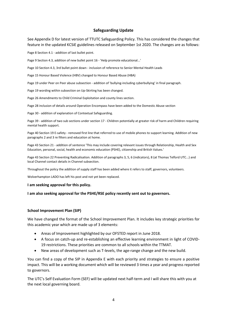#### **Safeguarding Update**

See Appendix D for latest version of TTUTC Safeguarding Policy. This has considered the changes that feature in the updated KCSiE guidelines released on September 1st 2020. The changes are as follows:

Page 8 Section 4.1 - addition of last bullet point.

Page 9 Section 4.3, addition of new bullet point 16 - 'Help promote educational...'

Page 10 Section 4.3, 3rd bullet point down - inclusion of reference to Senior Mental Health Leads

Page 15 Honour Based Violence (HBV) changed to Honour Based Abuse (HBA)

Page 19 under Peer on Peer abuse subsection - addition of 'bullying-including cyberbullying' in final paragraph.

Page 19 wording within subsection on Up-Skirting has been changed.

Page 26 Amendments to Child Criminal Exploitation and county lines section.

Page 28 inclusion of details around Operation Encompass have been added to the Domestic Abuse section

Page 30 - addition of explanation of Contextual Safeguarding.

Page 39 - addition of two sub sections under section 17 - Children potentially at greater risk of harm and Children requiring mental health support.

Page 40 Section 19 E-safety - removed first line that referred to use of mobile phones to support learning. Addition of new paragraphs 2 and 3 re filters and education at home.

Page 43 Section 21 - addition of sentence 'This may include covering relevant issues through Relationship, Health and Sex Education, personal, social, health and economic education (PSHE), citizenship and British Values.'

Page 43 Section 22 Preventing Radicalisation. Addition of paragraphs 3, 5, 6 (indicators), 8 (at Thomas Telford UTC...) and local Channel contact details in Channel subsection.

Throughout the policy the addition of supply staff has been added where it refers to staff, governors, volunteers.

Wolverhampton LADO has left his post and not yet been replaced.

#### **I am seeking approval for this policy.**

#### **I am also seeking approval for the PSHE/RSE policy recently sent out to governors.**

#### **School Improvement Plan (SIP)**

We have changed the format of the School Improvement Plan. It includes key strategic priorities for this academic year which are made up of 3 elements:

- Areas of Improvement highlighted by our OFSTED report in June 2018.
- A focus on catch-up and re-establishing an effective learning environment in light of COVID-19 restrictions. These priorities are common to all schools within the TTMAT.
- New areas of development such as T-levels, the age-range change and the new build.

You can find a copy of the SIP in Appendix E with each priority and strategies to ensure a positive impact. This will be a working document which will be reviewed 3 times a year and progress reported to governors.

The UTC's Self Evaluation Form (SEF) will be updated next half-term and I will share this with you at the next local governing board.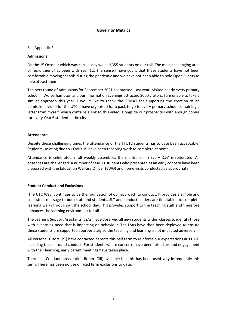#### **Governor Metrics**

#### See Appendix F

#### **Admissions**

On the 1<sup>st</sup> October which was census day we had 355 students on our roll. The most challenging area of recruitment has been with Year 12. The sense I have got is that these students have not been comfortable moving schools during the pandemic and we have not been able to hold Open Events to help attract them.

The next round of Admissions for September 2021 has started. Last year I visited nearly every primary school in Wolverhampton and our Information Evenings attracted 3000 visitors. I am unable to take a similar approach this year. I would like to thank the TTMAT for supporting the creation of an admissions video for the UTC. I have organised for a pack to go to every primary school containing a letter from myself, which contains a link to this video, alongside our prospectus with enough copies for every Year 6 student in the city.

#### **Attendance**

Despite these challenging times the attendance of the TTUTC students has to date been acceptable. Students isolating due to COVID-19 have been receiving work to complete at home.

Attendance is celebrated in all weekly assemblies the mantra of 'In Every Day' is reiterated. All absences are challenged. A number of Year 11 students who presented as an early concern have been discussed with the Education Welfare Officer (EWO) and home visits conducted as appropriate.

# **Student Conduct and Exclusions**

'The UTC Way' continues to be the foundation of our approach to conduct. It provides a simple and consistent message to both staff and students. SLT and conduct leaders are timetabled to complete learning walks throughout the school day. This provides support to the teaching staff and therefore enhances the learning environment for all.

The Learning Support Assistants (LSAs) have observed all new students within classes to identify those with a learning need that is impacting on behaviour. The LSAs have then been deployed to ensure these students are supported appropriately so the teaching and learning is not impacted adversely.

All Personal Tutors (PT) have contacted parents this half term to reinforce our expectations at TTUTC including those around conduct. For students where concerns have been raised around engagement with their learning, early parent meetings have taken place.

There is a Conduct Intervention Room (CIR) available but this has been used very infrequently this term. There has been no use of fixed term exclusions to date.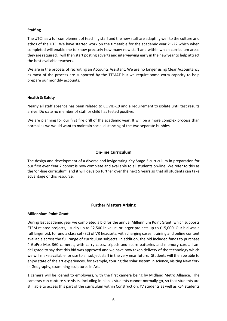#### **Staffing**

The UTC has a full complement of teaching staff and the new staff are adapting well to the culture and ethos of the UTC. We have started work on the timetable for the academic year 21-22 which when completed will enable me to know precisely how many new staff and within which curriculum areas they are required. I will then start posting adverts and interviewing early in the new year to help attract the best available teachers.

We are in the process of recruiting an Accounts Assistant. We are no longer using Clear Accountancy as most of the process are supported by the TTMAT but we require some extra capacity to help prepare our monthly accounts.

#### **Health & Safety**

Nearly all staff absence has been related to COVID-19 and a requirement to isolate until test results arrive. Do date no member of staff or child has tested positive.

We are planning for our first fire drill of the academic year. It will be a more complex process than normal as we would want to maintain social distancing of the two separate bubbles.

# **On-line Curriculum**

The design and development of a diverse and invigorating Key Stage 3 curriculum in preparation for our first ever Year 7 cohort is now complete and available to all students on-line. We refer to this as the 'on-line curriculum' and it will develop further over the next 5 years so that all students can take advantage of this resource.

# **Further Matters Arising**

#### **Millennium Point Grant**

During last academic year we completed a bid for the annual Millennium Point Grant, which supports STEM related projects, usually up to £2,500 in value, or larger projects up to £15,000. Our bid was a full larger bid, to fund a class set (32) of VR headsets, with charging cases, training and online content available across the full range of curriculum subjects. In addition, the bid included funds to purchase 4 GoPro Max 360 cameras, with carry cases, tripods and spare batteries and memory cards. I am delighted to say that this bid was approved and we have now taken delivery of the technology which we will make available for use to all subject staff in the very near future. Students will then be able to enjoy state of the art experiences, for example, touring the solar system in science, visiting New York in Geography, examining sculptures in Art.

1 camera will be loaned to employers, with the first camera being by Midland Metro Alliance. The cameras can capture site visits, including in places students cannot normally go, so that students are still able to access this part of the curriculum within Construction. Y7 students as well as KS4 students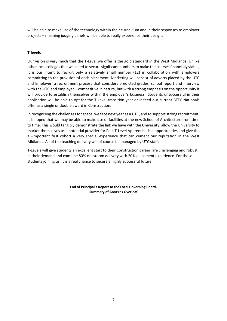will be able to make use of the technology within their curriculum and in their responses to employer projects – meaning judging panels will be able to really experience their designs!

# **T-levels**

Our vision is very much that the T-Level we offer is the gold standard in the West Midlands. Unlike other local colleges that will need to secure significant numbers to make the courses financially viable, it is our intent to recruit only a relatively small number (12) in collaboration with employers committing to the provision of each placement. Marketing will consist of adverts placed by the UTC and Employer, a recruitment process that considers predicted grades, school report and interview with the UTC and employer – competitive in nature, but with a strong emphasis on the opportunity it will provide to establish themselves within the employer's business. Students unsuccessful in their application will be able to opt for the T-Level transition year or indeed our current BTEC Nationals offer as a single or double award in Construction.

In recognising the challenges for space, we face next year as a UTC, and to support strong recruitment, it is hoped that we may be able to make use of facilities at the new School of Architecture from time to time. This would tangibly demonstrate the link we have with the University, allow the University to market themselves as a potential provider for Post T-Level Apprenticeship opportunities and give the all-important first cohort a very special experience that can cement our reputation in the West Midlands. All of the teaching delivery will of course be managed by UTC staff.

T-Levels will give students an excellent start to their Construction career, are challenging and robust in their demand and combine 80% classroom delivery with 20% placement experience. For those students joining us, it is a real chance to secure a highly successful future.

> **End of Principal's Report to the Local Governing Board. Summary of Annexes Overleaf**